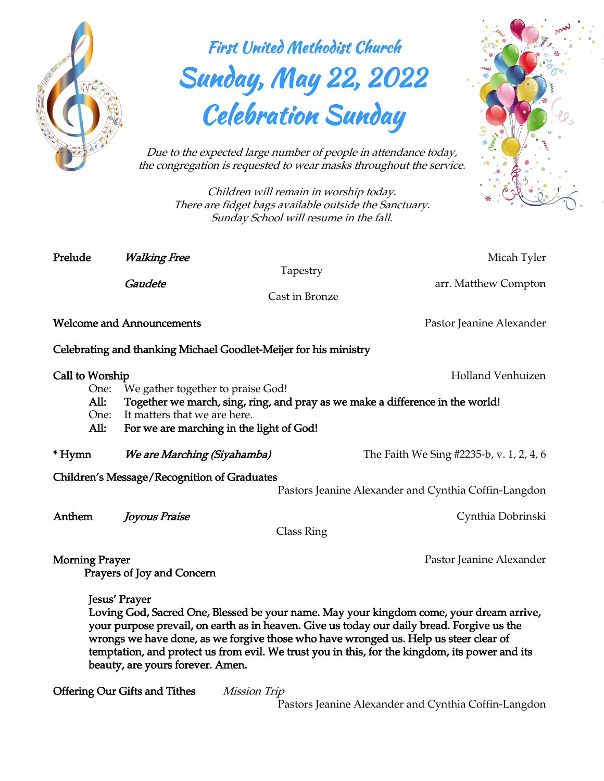

## First United Methodist Church Sunday, May 22, 2022 Celebration Sunday



*Due to the expected large number of people in attendance today, the congregation is requested to wear masks throughout the service.*

> *Children will remain in worship today. There are fidget bags available outside the Sanctuary. Sunday School will resume in the fall.*

*Prelude Walking Free Micah Tyler Tapestry Gaudete arr. Matthew Compton Cast in Bronze Welcome and Announcements Pastor Jeanine Alexander Celebrating and thanking Michael Goodlet-Meijer for his ministry Call to Worship Holland Venhuizen One: We gather together to praise God! All: Together we march, sing, ring, and pray as we make a difference in the world! One: It matters that we are here. All: For we are marching in the light of God! \* Hymn We are Marching (Siyahamba) The Faith We Sing #2235-b, v. 1, 2, 4, 6 Children's Message/Recognition of Graduates Pastors Jeanine Alexander and Cynthia Coffin-Langdon Anthem Joyous Praise Cynthia Dobrinski Class Ring Morning Prayer* Pastor Jeanine Alexander *Prayers of Joy and Concern Jesus' Prayer* 

*Loving God, Sacred One, Blessed be your name. May your kingdom come, your dream arrive, your purpose prevail, on earth as in heaven. Give us today our daily bread. Forgive us the wrongs we have done, as we forgive those who have wronged us. Help us steer clear of temptation, and protect us from evil. We trust you in this, for the kingdom, its power and its beauty, are yours forever. Amen.* 

*Offering Our Gifts and Tithes Mission Trip* 

*Pastors Jeanine Alexander and Cynthia Coffin-Langdon*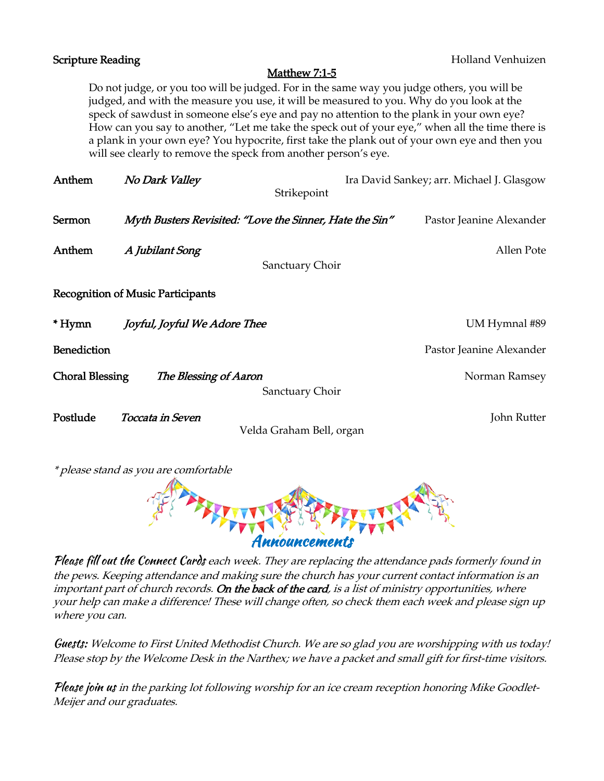| <b>Scripture Reading</b>                                                                                                                                                                                                                                                                                                                                                                                                                                                                                                                                   |                                                         | <b>Holland Venhuizen</b>                  |
|------------------------------------------------------------------------------------------------------------------------------------------------------------------------------------------------------------------------------------------------------------------------------------------------------------------------------------------------------------------------------------------------------------------------------------------------------------------------------------------------------------------------------------------------------------|---------------------------------------------------------|-------------------------------------------|
| Matthew 7:1-5                                                                                                                                                                                                                                                                                                                                                                                                                                                                                                                                              |                                                         |                                           |
| Do not judge, or you too will be judged. For in the same way you judge others, you will be<br>judged, and with the measure you use, it will be measured to you. Why do you look at the<br>speck of sawdust in someone else's eye and pay no attention to the plank in your own eye?<br>How can you say to another, "Let me take the speck out of your eye," when all the time there is<br>a plank in your own eye? You hypocrite, first take the plank out of your own eye and then you<br>will see clearly to remove the speck from another person's eye. |                                                         |                                           |
| Anthem                                                                                                                                                                                                                                                                                                                                                                                                                                                                                                                                                     | No Dark Valley<br>Strikepoint                           | Ira David Sankey; arr. Michael J. Glasgow |
| Sermon                                                                                                                                                                                                                                                                                                                                                                                                                                                                                                                                                     | Myth Busters Revisited: "Love the Sinner, Hate the Sin" | Pastor Jeanine Alexander                  |
| Anthem                                                                                                                                                                                                                                                                                                                                                                                                                                                                                                                                                     | A Jubilant Song                                         | Allen Pote                                |
|                                                                                                                                                                                                                                                                                                                                                                                                                                                                                                                                                            | Sanctuary Choir                                         |                                           |
| <b>Recognition of Music Participants</b>                                                                                                                                                                                                                                                                                                                                                                                                                                                                                                                   |                                                         |                                           |
| * Hymn                                                                                                                                                                                                                                                                                                                                                                                                                                                                                                                                                     | Joyful, Joyful We Adore Thee                            | UM Hymnal #89                             |
| <b>Benediction</b>                                                                                                                                                                                                                                                                                                                                                                                                                                                                                                                                         |                                                         | Pastor Jeanine Alexander                  |
| <b>Choral Blessing</b>                                                                                                                                                                                                                                                                                                                                                                                                                                                                                                                                     | The Blessing of Aaron<br>Sanctuary Choir                | Norman Ramsey                             |
| Postlude                                                                                                                                                                                                                                                                                                                                                                                                                                                                                                                                                   | Toccata in Seven<br>Velda Graham Bell, organ            | John Rutter                               |

*\* please stand as you are comfortable*



Please fill out the Connect Cards *each week. They are replacing the attendance pads formerly found in the pews. Keeping attendance and making sure the church has your current contact information is an important part of church records. On the back of the card, is a list of ministry opportunities, where your help can make a difference! These will change often, so check them each week and please sign up where you can.*

Guests: *Welcome to First United Methodist Church. We are so glad you are worshipping with us today! Please stop by the Welcome Desk in the Narthex; we have a packet and small gift for first-time visitors.*

Please join us *in the parking lot following worship for an ice cream reception honoring Mike Goodlet-Meijer and our graduates.*